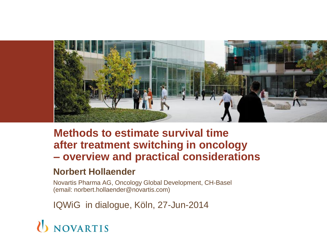

#### **Methods to estimate survival time after treatment switching in oncology – overview and practical considerations**

#### **Norbert Hollaender**

Novartis Pharma AG, Oncology Global Development, CH-Basel (email: norbert.hollaender@novartis.com)

IQWiG in dialogue, Köln, 27-Jun-2014

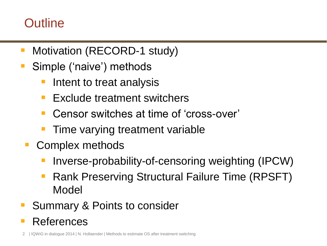### **Outline**

- Motivation (RECORD-1 study)
- Simple ('naive') methods
	- Intent to treat analysis
	- Exclude treatment switchers
	- Censor switches at time of 'cross-over'
	- Time varying treatment variable
- **Complex methods** 
	- Inverse-probability-of-censoring weighting (IPCW)
	- Rank Preserving Structural Failure Time (RPSFT) Model
- Summary & Points to consider
- References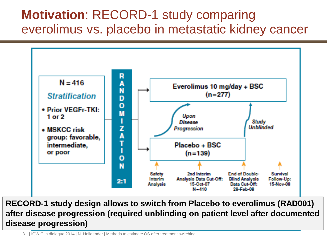### **Motivation**: RECORD-1 study comparing everolimus vs. placebo in metastatic kidney cancer



**RECORD-1 study design allows to switch from Placebo to everolimus (RAD001) after disease progression (required unblinding on patient level after documented disease progression)**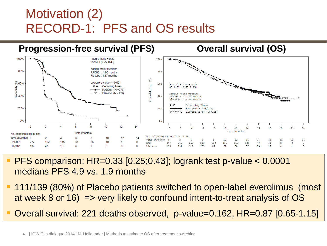### Motivation (2) RECORD-1: PFS and OS results



- PFS comparison: HR=0.33 [0.25;0.43]; logrank test p-value < 0.0001 medians PFS 4.9 vs. 1.9 months
- 111/139 (80%) of Placebo patients switched to open-label everolimus (most at week 8 or 16) => very likely to confound intent-to-treat analysis of OS
- Overall survival: 221 deaths observed, p-value=0.162, HR=0.87 [0.65-1.15]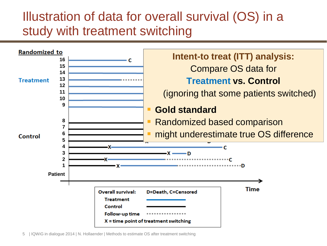### Illustration of data for overall survival (OS) in a study with treatment switching

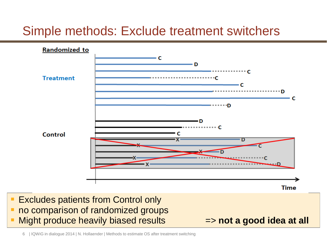### Simple methods: Exclude treatment switchers



- **Excludes patients from Control only**
- **no comparison of randomized groups**
- **Night produce heavily biased results The state and a good idea at all**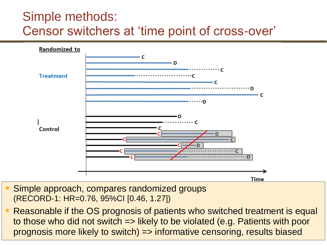### Simple methods: Censor switchers at 'time point of cross-over'



- Simple approach, compares randomized groups (RECORD-1: HR=0.76, 95%CI [0.46, 1.27])
- prognosis more likely to switch) => informative censoring, results biased Reasonable if the OS prognosis of patients who switched treatment is equal to those who did not switch => likely to be violated (e.g. Patients with poor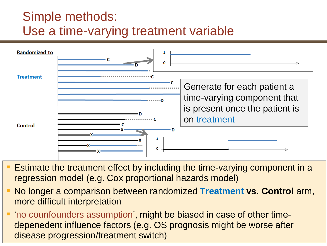### Simple methods: Use a time-varying treatment variable



- Estimate the treatment effect by including the time-varying component in a regression model (e.g. Cox proportional hazards model)
- No longer a comparison between randomized **Treatment vs. Control** arm, more difficult interpretation
- disease progression/treatment switch) 'no counfounders assumption', might be biased in case of other timedepenedent influence factors (e.g. OS prognosis might be worse after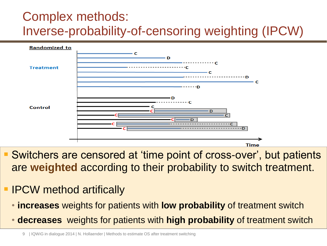### Complex methods: Inverse-probability-of-censoring weighting (IPCW)



- Switchers are censored at 'time point of cross-over', but patients are **weighted** according to their probability to switch treatment.
- **IPCW method artifically** 
	- **increases** weights for patients with **low probability** of treatment switch
	- **decreases** weights for patients with **high probability** of treatment switch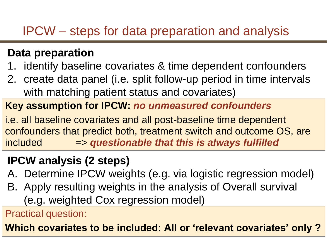### IPCW – steps for data preparation and analysis

### **Data preparation**

- 1. identify baseline covariates & time dependent confounders
- 2. create data panel (i.e. split follow-up period in time intervals with matching patient status and covariates)

### **Key assumption for IPCW:** *no unmeasured confounders*

i.e. all baseline covariates and all post-baseline time dependent confounders that predict both, treatment switch and outcome OS, are included => *questionable that this is always fulfilled*

### **IPCW analysis (2 steps)**

- A. Determine IPCW weights (e.g. via logistic regression model)
- B. Apply resulting weights in the analysis of Overall survival (e.g. weighted Cox regression model)

Practical question:

**Which covariates to be included: All or 'relevant covariates' only ?**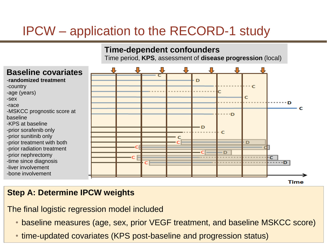### IPCW – application to the RECORD-1 study

#### **Time-dependent confounders**

Time period, **KPS**, assessment of **disease progression** (local)



#### **Step A: Determine IPCW weights**

The final logistic regression model included

• baseline measures (age, sex, prior VEGF treatment, and baseline MSKCC score)

• time-updated covariates (KPS post-baseline and progression status)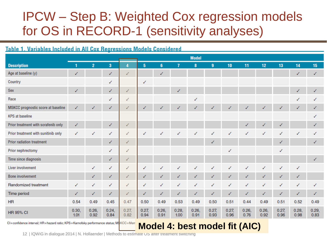### IPCW – Step B: Weighted Cox regression models for OS in RECORD-1 (sensitivity analyses)

#### Table 1. Variables Included in All Cox Regressions Models Considered

|                                     |               | <b>Model</b>   |               |                  |               |               |               |               |               |               |               |               |               |               |               |
|-------------------------------------|---------------|----------------|---------------|------------------|---------------|---------------|---------------|---------------|---------------|---------------|---------------|---------------|---------------|---------------|---------------|
| <b>Description</b>                  |               | $\overline{2}$ | 3             | $\boldsymbol{4}$ | 5             | 6             |               | 8             | 9             | 10            | 11            | 12            | 13            | 14            | 15            |
| Age at baseline (y)                 | ✓             |                | ✓             | ✓                |               | $\checkmark$  |               |               |               |               |               |               |               |               | ✓             |
| Country                             |               |                | ✓             |                  | $\checkmark$  |               |               |               |               |               |               |               |               |               |               |
| Sex                                 | ✓             |                | ✓             | $\checkmark$     |               |               | ✓             |               |               |               |               |               |               | ✓             | ✓             |
| Race                                |               |                | ✓             | ✓                |               |               |               | ✓             |               |               |               |               |               | ✓             | ✓             |
| MSKCC prognostic score at baseline  | ✓             | $\checkmark$   | ✓             | $\checkmark$     | ✓             | ✓             |               |               |               |               |               |               |               |               | ✓             |
| <b>KPS</b> at baseline              |               |                |               |                  |               |               |               |               |               |               |               |               |               |               | ✓             |
| Prior treatment with sorafenib only | ✓             |                | ✓             | $\checkmark$     |               |               |               |               |               |               | ✓             | ✓             | ✓             |               | ✓             |
| Prior treatment with sunitinib only | ✓             | ✓              | ✓             | $\checkmark$     | ✓             | ✓             | ✓             | ✓             | ✓             | ✓             | ✓             | ✓             | ✓             | ✓             | ✓             |
| Prior radiation treatment           |               |                | ✓             | $\checkmark$     |               |               |               |               | ✓             |               |               |               | ✓             |               | ✓             |
| Prior nephrectomy                   |               |                | ✓             | $\checkmark$     |               |               |               |               |               | ✓             |               |               | ✓             |               |               |
| Time since diagnosis                |               |                | ✓             | ✓                |               |               |               |               |               |               |               |               |               |               |               |
| Liver involvement                   |               | ✓              | ✓             | ✓                | ✓             | √             |               |               |               |               |               |               |               | ✓             |               |
| <b>Bone involvement</b>             |               | ✓              | ✓             | ✓                | ✓             | ✓             |               |               |               |               |               |               |               | ✓             |               |
| Randomized treatment                | ✓             | ✓              | ✓             | ✓                | ✓             | √             | ✓             |               | ✓             |               |               |               |               |               | ✓             |
| Time period                         | ✓             | ✓              | ✓             | $\checkmark$     | ✓             | ✓             | ✓             | ✓             | ✓             | ✓             | ✓             | ✓             | ✓             | ✓             | ✓             |
| <b>HR</b>                           | 0.54          | 0.49           | 0.45          | 0.47             | 0.50          | 0.49          | 0.53          | 0.49          | 0.50          | 0.51          | 0.44          | 0.49          | 0.51          | 0.52          | 0.49          |
| <b>HR 95% CI</b>                    | 0.30,<br>1.01 | 0.26,<br>0.92  | 0.24,<br>0.84 | 0.27,<br>0.82    | 0.27,<br>0.94 | 0.26,<br>0.91 | 0.28,<br>1.00 | 0.26,<br>0.91 | 0.27,<br>0.93 | 0.27,<br>0.96 | 0.26,<br>0.76 | 0.26,<br>0.92 | 0.27,<br>0.96 | 0.28,<br>0.98 | 0.29,<br>0.83 |

CI=confidence interval; HR=hazard ratio; KPS=Karnofsky performance status; MSKCC=Mem

#### **Model 4: best model fit (AIC)**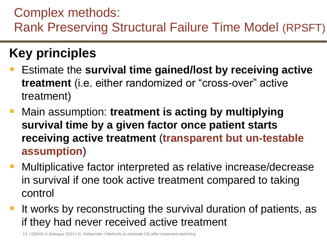### Complex methods: Rank Preserving Structural Failure Time Model (RPSFT)

### **Key principles**

- Estimate the **survival time gained/lost by receiving active treatment** (i.e. either randomized or "cross-over" active treatment)
- Main assumption: **treatment is acting by multiplying survival time by a given factor once patient starts receiving active treatment** (**transparent but un-testable assumption**)
- Multiplicative factor interpreted as relative increase/decrease in survival if one took active treatment compared to taking control
- It works by reconstructing the survival duration of patients, as if they had never received active treatment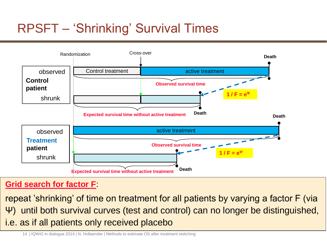### RPSFT – 'Shrinking' Survival Times



#### **Grid search for factor F**:

repeat 'shrinking' of time on treatment for all patients by varying a factor F (via Ψ) until both survival curves (test and control) can no longer be distinguished, i.e. as if all patients only received placebo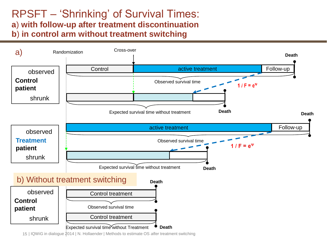#### RPSFT – 'Shrinking' of Survival Times: **a**) **with follow-up after treatment discontinuation b**) **in control arm without treatment switching**

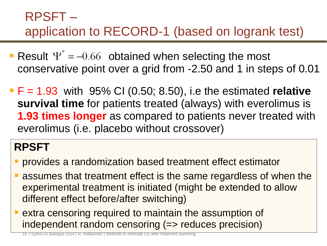### RPSFT – application to RECORD-1 (based on logrank test)

- Result  $\Psi^* = -0.66$  obtained when selecting the most conservative point over a grid from -2.50 and 1 in steps of 0.01
- F = 1.93 with 95% CI (0.50; 8.50), i.e the estimated **relative survival time** for patients treated (always) with everolimus is **1.93 times longer** as compared to patients never treated with everolimus (i.e. placebo without crossover)

### **RPSFT**

- provides a randomization based treatment effect estimator
- assumes that treatment effect is the same regardless of when the experimental treatment is initiated (might be extended to allow different effect before/after switching)
- extra censoring required to maintain the assumption of independent random censoring (=> reduces precision)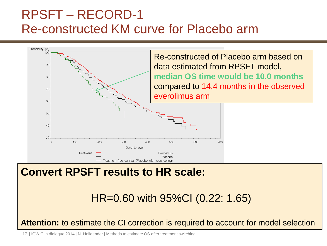### RPSFT – RECORD-1 Re-constructed KM curve for Placebo arm



#### **Convert RPSFT results to HR scale:**

HR=0.60 with 95%CI (0.22; 1.65)

**Attention:** to estimate the CI correction is required to account for model selection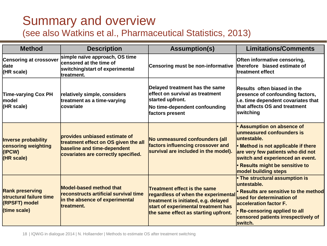## Summary and overview

(see also Watkins et al., Pharmaceutical Statistics, 2013)

| <b>Method</b>                                                                                    | <b>Description</b>                                                                                                                          | <b>Assumption(s)</b>                                                                                                                                                                              | <b>Limitations/Comments</b>                                                                                                                                                                                                                              |  |  |  |
|--------------------------------------------------------------------------------------------------|---------------------------------------------------------------------------------------------------------------------------------------------|---------------------------------------------------------------------------------------------------------------------------------------------------------------------------------------------------|----------------------------------------------------------------------------------------------------------------------------------------------------------------------------------------------------------------------------------------------------------|--|--|--|
| <b>Censoring at crossover</b><br><b>date</b><br>(HR scale)                                       | simple naïve approach, OS time<br>censored at the time of<br>switching/start of experimental<br>treatment.                                  | Censoring must be non-informative                                                                                                                                                                 | Often informative censoring,<br>therefore biased estimate of<br>ltreatment effect                                                                                                                                                                        |  |  |  |
| <b>Time-varying Cox PH</b><br> model<br>$(K)$ scale)                                             | relatively simple, considers<br>treatment as a time-varying<br><b>covariate</b>                                                             | Delayed treatment has the same<br>leffect on survival as treatment<br>started upfront.<br>No time-dependent confounding<br>factors present                                                        | Results often biased in the<br>presence of confounding factors,<br>i.e. time dependent covariates that<br>that affects OS and treatment<br><b>switching</b>                                                                                              |  |  |  |
| Inverse probability<br>censoring weighting<br>(IPCW)<br>$(K)$ scale)                             | provides unbiased estimate of<br>treatment effect on OS given the all<br>baseline and time-dependent<br>covariates are correctly specified. | No unmeasured confounders (all<br>factors influencing crossover and<br>survival are included in the model).                                                                                       | • Assumption on absence of<br>unmeasured confounders is<br>untestable.<br>• Method is not applicable if there<br>are very few patients who did not<br>switch and experienced an event.<br><b>• Results might be sensitive to</b><br>model building steps |  |  |  |
| <b>Rank preserving</b><br><b>structural failure time</b><br><b>(RPSFT)</b> model<br>(time scale) | <b>Model-based method that</b><br><b>reconstructs artificial survival time</b><br>in the absence of experimental<br>treatment.              | <b>Treatment effect is the same</b><br>regardless of when the experimental<br>treatment is initiated, e.g. delayed<br>start of experimental treatment has<br>the same effect as starting upfront. | • The structural assumption is<br>untestable.<br>• Results are sensitive to the method<br>used for determination of<br>lacceleration factor F.<br>• Re-censoring applied to all<br>censored patients irrespectively of<br>switch.                        |  |  |  |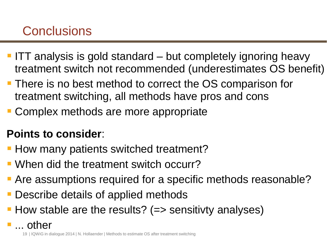### **Conclusions**

- **ITT** analysis is gold standard but completely ignoring heavy treatment switch not recommended (underestimates OS benefit)
- **There is no best method to correct the OS comparison for** treatment switching, all methods have pros and cons
- Complex methods are more appropriate

### **Points to consider**:

- **How many patients switched treatment?**
- When did the treatment switch occurr?
- Are assumptions required for a specific methods reasonable?
- Describe details of applied methods
- How stable are the results? (=> sensitivty analyses)
- ... other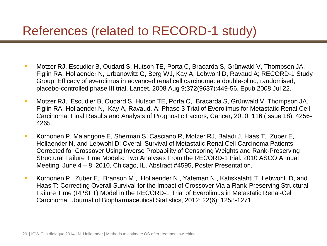### References (related to RECORD-1 study)

- Motzer RJ, Escudier B, Oudard S, Hutson TE, Porta C, Bracarda S, Grünwald V, Thompson JA, Figlin RA, Hollaender N, Urbanowitz G, Berg WJ, Kay A, Lebwohl D, Ravaud A; RECORD-1 Study Group. Efficacy of everolimus in advanced renal cell carcinoma: a double-blind, randomised, placebo-controlled phase III trial. Lancet. 2008 Aug 9;372(9637):449-56. Epub 2008 Jul 22.
- Motzer RJ, Escudier B, Oudard S, Hutson TE, Porta C, Bracarda S, Grünwald V, Thompson JA, Figlin RA, Hollaender N, Kay A, Ravaud, A: Phase 3 Trial of Everolimus for Metastatic Renal Cell Carcinoma: Final Results and Analysis of Prognostic Factors, Cancer, 2010; 116 (Issue 18): 4256- 4265.
- Korhonen P, Malangone E, Sherman S, Casciano R, Motzer RJ, Baladi J, Haas T, Zuber E, Hollaender N, and Lebwohl D: Overall Survival of Metastatic Renal Cell Carcinoma Patients Corrected for Crossover Using Inverse Probability of Censoring Weights and Rank-Preserving Structural Failure Time Models: Two Analyses From the RECORD-1 trial. 2010 ASCO Annual Meeting, June 4 – 8, 2010, Chicago, IL, Abstract #4595, Poster Presentation.
- Korhonen P, Zuber E, Branson M , Hollaender N , Yateman N , Katiskalahti T, Lebwohl D, and Haas T: Correcting Overall Survival for the Impact of Crossover Via a Rank-Preserving Structural Failure Time (RPSFT) Model in the RECORD-1 Trial of Everolimus in Metastatic Renal-Cell Carcinoma. Journal of Biopharmaceutical Statistics, 2012; 22(6): 1258-1271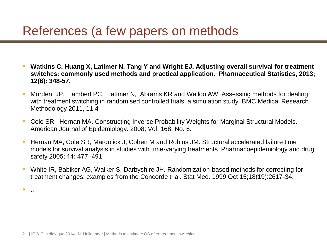### References (a few papers on methods

- **Watkins C, Huang X, Latimer N, Tang Y and Wright EJ. Adjusting overall survival for treatment switches: commonly used methods and practical application. Pharmaceutical Statistics, 2013; 12(6): 348-57.**
- Morden JP, Lambert PC, Latimer N, Abrams KR and Wailoo AW. Assessing methods for dealing with treatment switching in randomised controlled trials: a simulation study. BMC Medical Research Methodology 2011, 11:4
- Cole SR, Hernan MA. Constructing Inverse Probability Weights for Marginal Structural Models. American Journal of Epidemiology. 2008; Vol. 168, No. 6.
- Hernan MA, Cole SR, Margolick J, Cohen M and Robins JM. Structural accelerated failure time models for survival analysis in studies with time-varying treatments. Pharmacoepidemiology and drug safety 2005; 14: 477–491
- White IR, Babiker AG, Walker S, Darbyshire JH. Randomization-based methods for correcting for treatment changes: examples from the Concorde trial. Stat Med. 1999 Oct 15;18(19):2617-34.

...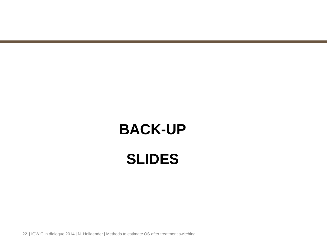# **BACK-UP SLIDES**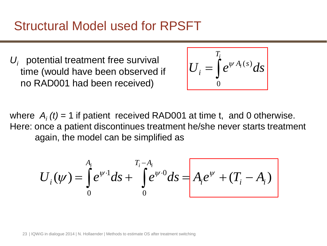### Structural Model used for RPSFT

 $U_i$  potential treatment free survival time (would have been observed if no RAD001 had been received)

$$
U_i = \int_0^{T_i} e^{\psi A_i(s)} ds
$$

where  $A_i(t) = 1$  if patient received RAD001 at time t, and 0 otherwise. Here: once a patient discontinues treatment he/she never starts treatment again, the model can be simplified as

$$
U_i(\psi) = \int_0^{A_i} e^{\psi \cdot 1} ds + \int_0^{T_i - A_i} e^{\psi \cdot 0} ds = A_i e^{\psi} + (T_i - A_i)
$$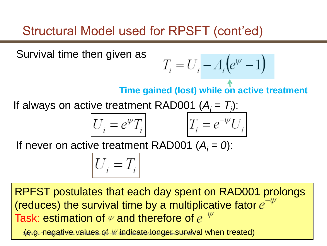### Structural Model used for RPSFT (cont'ed)

Survival time then given as

$$
T_i = U_i - A_i \left( e^{\psi} - 1 \right)
$$

**Time gained (lost) while on active treatment**

If always on active treatment RAD001  $(A_i = T_i)$ :

$$
U_i = e^{\psi} T_i \qquad \qquad T_i = e^{-\psi} U
$$

If never on active treatment RAD001  $(A_i = 0)$ :

$$
U_i = T_i
$$

RPFST postulates that each day spent on RAD001 prolongs (reduces) the survival time by a multiplicative fator  $e^{-\psi}$ Task: estimation of  $\psi$  and therefore of  $e^{-\psi}$ 

 $16$  g. negative Malues of indicate longer survival when treated)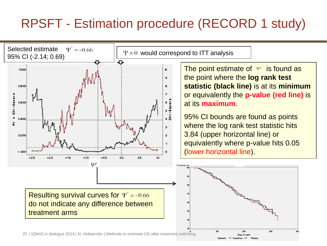### RPSFT - Estimation procedure (RECORD 1 study)

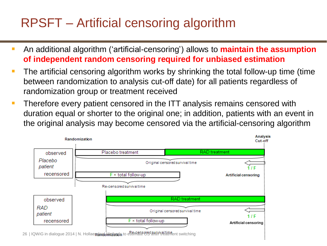### RPSFT – Artificial censoring algorithm

- **An additional algorithm ('artificial-censoring') allows to maintain the assumption of independent random censoring required for unbiased estimation**
- The artificial censoring algorithm works by shrinking the total follow-up time (time between randomization to analysis cut-off date) for all patients regardless of randomization group or treatment received
- **Therefore every patient censored in the ITT analysis remains censored with** duration equal or shorter to the original one; in addition, patients with an event in the original analysis may become censored via the artificial-censoring algorithm

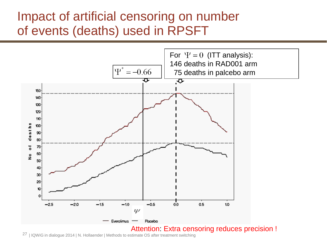### Impact of artificial censoring on number of events (deaths) used in RPSFT

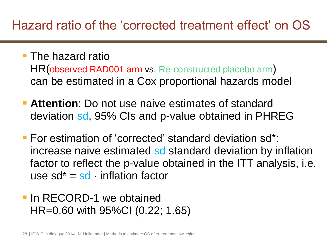### Hazard ratio of the 'corrected treatment effect' on OS

- **The hazard ratio** HR(observed RAD001 arm vs. Re-constructed placebo arm) can be estimated in a Cox proportional hazards model
- **Attention**: Do not use naive estimates of standard deviation sd, 95% CIs and p-value obtained in PHREG
- For estimation of 'corrected' standard deviation sd\*: increase naive estimated so standard deviation by inflation factor to reflect the p-value obtained in the ITT analysis, i.e. use  $sd^* = sd$  · inflation factor
- **In RECORD-1 we obtained** HR=0.60 with 95%CI (0.22; 1.65)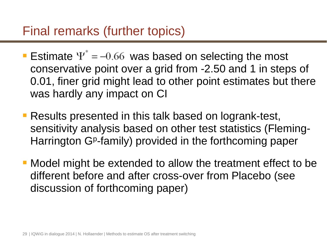### Final remarks (further topics)

- Estimate  $\Psi^* = -0.66$  was based on selecting the most conservative point over a grid from -2.50 and 1 in steps of 0.01, finer grid might lead to other point estimates but there was hardly any impact on CI
- **Results presented in this talk based on logrank-test,** sensitivity analysis based on other test statistics (Fleming-Harrington GP-family) provided in the forthcoming paper
- Model might be extended to allow the treatment effect to be different before and after cross-over from Placebo (see discussion of forthcoming paper)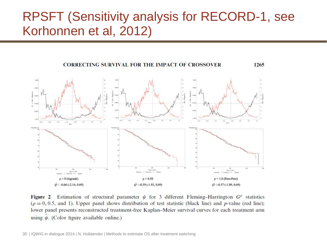### RPSFT (Sensitivity analysis for RECORD-1, see Korhonnen et al, 2012)



Estimation of structural parameter  $\psi$  for 3 different Fleming–Harrington  $G^{\rho}$  statistics Figure 2  $(\rho = 0, 0.5,$  and 1). Upper panel shows distribution of test statistic (black line) and p-value (red line); lower panel presents reconstructed treatment-free Kaplan-Meier survival curves for each treatment arm using  $\psi$ . (Color figure available online.)